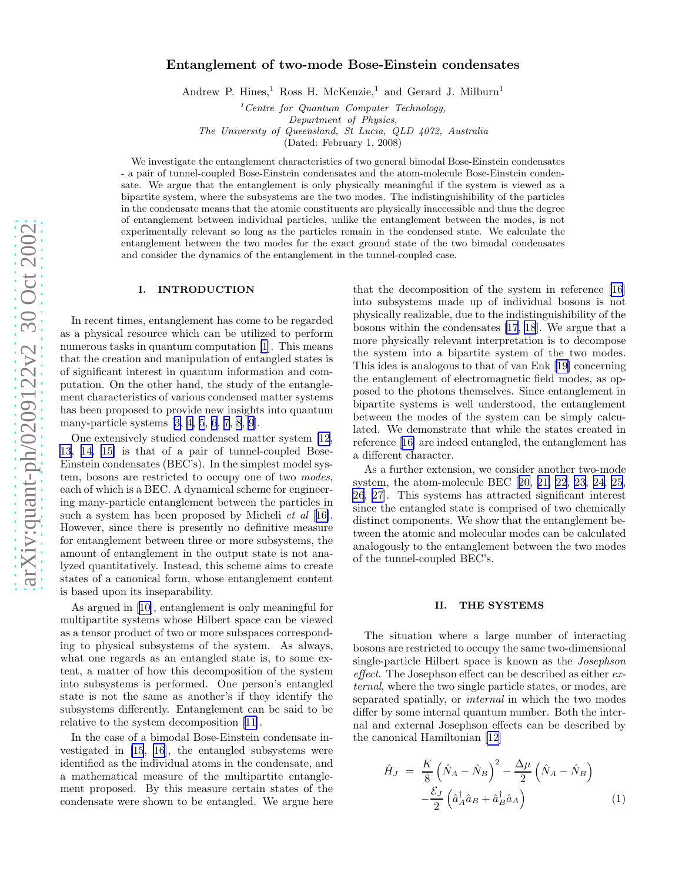# <span id="page-0-0"></span>Entanglement of two-mode Bose-Einstein condensates

Andrew P. Hines,<sup>1</sup> Ross H. McKenzie,<sup>1</sup> and Gerard J. Milburn<sup>1</sup>

 $1$ <sup>1</sup>Centre for Quantum Computer Technology, Department of Physics, The University of Queensland, St Lucia, QLD 4072, Australia

(Dated: February 1, 2008)

We investigate the entanglement characteristics of two general bimodal Bose-Einstein condensates - a pair of tunnel-coupled Bose-Einstein condensates and the atom-molecule Bose-Einstein condensate. We argue that the entanglement is only physically meaningful if the system is viewed as a bipartite system, where the subsystems are the two modes. The indistinguishibility of the particles in the condensate means that the atomic constituents are physically inaccessible and thus the degree of entanglement between individual particles, unlike the entanglement between the modes, is not experimentally relevant so long as the particles remain in the condensed state. We calculate the entanglement between the two modes for the exact ground state of the two bimodal condensates and consider the dynamics of the entanglement in the tunnel-coupled case.

## I. INTRODUCTION

In recent times, entanglement has come to be regarded as a physical resource which can be utilized to perform numerous tasks in quantum computation [\[1](#page-9-0)]. This means that the creation and manipulation of entangled states is of significant interest in quantum information and computation. On the other hand, the study of the entanglement characteristics of various condensed matter systems has been proposed to provide new insights into quantum many-particle systems[[3, 4, 5, 6, 7](#page-9-0), [8](#page-9-0), [9](#page-9-0)].

One extensively studied condensed matter system [\[12](#page-9-0), [13, 14, 15\]](#page-9-0) is that of a pair of tunnel-coupled Bose-Einstein condensates (BEC's). In the simplest model system, bosons are restricted to occupy one of two modes, each of which is a BEC. A dynamical scheme for engineering many-particle entanglement between the particles in such a system has been proposed by Micheli et al [[16\]](#page-9-0). However, since there is presently no definitive measure for entanglement between three or more subsystems, the amount of entanglement in the output state is not analyzed quantitatively. Instead, this scheme aims to create states of a canonical form, whose entanglement content is based upon its inseparability.

As argued in [\[10](#page-9-0)], entanglement is only meaningful for multipartite systems whose Hilbert space can be viewed as a tensor product of two or more subspaces corresponding to physical subsystems of the system. As always, what one regards as an entangled state is, to some extent, a matter of how this decomposition of the system into subsystems is performed. One person's entangled state is not the same as another's if they identify the subsystems differently. Entanglement can be said to be relative to the system decomposition [\[11](#page-9-0)].

In the case of a bimodal Bose-Einstein condensate investigated in [\[15](#page-9-0), [16\]](#page-9-0), the entangled subsystems were identified as the individual atoms in the condensate, and a mathematical measure of the multipartite entanglement proposed. By this measure certain states of the condensate were shown to be entangled. We argue here

that the decomposition of the system in reference [\[16](#page-9-0)] into subsystems made up of individual bosons is not physically realizable, due to the indistinguishibility of the bosons within the condensates [\[17](#page-9-0), [18](#page-9-0)]. We argue that a more physically relevant interpretation is to decompose the system into a bipartite system of the two modes. This idea is analogous to that of van Enk[[19](#page-9-0)] concerning the entanglement of electromagnetic field modes, as opposed to the photons themselves. Since entanglement in bipartite systems is well understood, the entanglement between the modes of the system can be simply calculated. We demonstrate that while the states created in reference[[16\]](#page-9-0) are indeed entangled, the entanglement has a different character.

As a further extension, we consider another two-mode system, the atom-molecule BEC[[20, 21, 22](#page-9-0), [23, 24, 25](#page-9-0), [26](#page-9-0), [27](#page-9-0)]. This systems has attracted significant interest since the entangled state is comprised of two chemically distinct components. We show that the entanglement between the atomic and molecular modes can be calculated analogously to the entanglement between the two modes of the tunnel-coupled BEC's.

## II. THE SYSTEMS

The situation where a large number of interacting bosons are restricted to occupy the same two-dimensional single-particle Hilbert space is known as the Josephson effect. The Josephson effect can be described as either external, where the two single particle states, or modes, are separated spatially, or internal in which the two modes differ by some internal quantum number. Both the internal and external Josephson effects can be described by the canonical Hamiltonian [\[12\]](#page-9-0)

$$
\hat{H}_J = \frac{K}{8} \left( \hat{N}_A - \hat{N}_B \right)^2 - \frac{\Delta \mu}{2} \left( \hat{N}_A - \hat{N}_B \right) \n- \frac{\mathcal{E}_J}{2} \left( \hat{a}_A^\dagger \hat{a}_B + \hat{a}_B^\dagger \hat{a}_A \right)
$$
\n(1)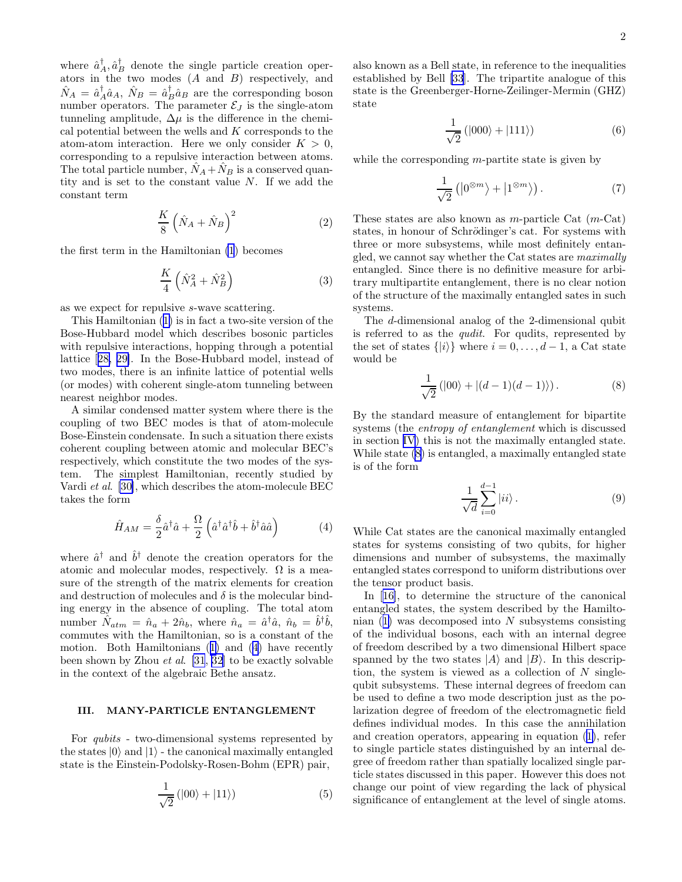<span id="page-1-0"></span>where  $\hat{a}_A^{\dagger}, \hat{a}_B^{\dagger}$  denote the single particle creation operators in the two modes (A and B) respectively, and  $\hat{N}_A = \hat{a}_A^{\dagger} \hat{a}_A$ ,  $\hat{N}_B = \hat{a}_B^{\dagger} \hat{a}_B$  are the corresponding boson number operators. The parameter  $\mathcal{E}_J$  is the single-atom tunneling amplitude,  $\Delta \mu$  is the difference in the chemical potential between the wells and K corresponds to the atom-atom interaction. Here we only consider  $K > 0$ , corresponding to a repulsive interaction between atoms. The total particle number,  $\hat{N}_A + \hat{N}_B$  is a conserved quantity and is set to the constant value N. If we add the constant term

$$
\frac{K}{8} \left( \hat{N}_A + \hat{N}_B \right)^2 \tag{2}
$$

the first term in the Hamiltonian [\(1](#page-0-0)) becomes

$$
\frac{K}{4} \left( \hat{N}_A^2 + \hat{N}_B^2 \right) \tag{3}
$$

as we expect for repulsive s-wave scattering.

This Hamiltonian ([1\)](#page-0-0) is in fact a two-site version of the Bose-Hubbard model which describes bosonic particles with repulsive interactions, hopping through a potential lattice[[28, 29\]](#page-9-0). In the Bose-Hubbard model, instead of two modes, there is an infinite lattice of potential wells (or modes) with coherent single-atom tunneling between nearest neighbor modes.

A similar condensed matter system where there is the coupling of two BEC modes is that of atom-molecule Bose-Einstein condensate. In such a situation there exists coherent coupling between atomic and molecular BEC's respectively, which constitute the two modes of the system. The simplest Hamiltonian, recently studied by Vardi et al. [\[30\]](#page-9-0), which describes the atom-molecule BEC takes the form

$$
\hat{H}_{AM} = \frac{\delta}{2} \hat{a}^\dagger \hat{a} + \frac{\Omega}{2} \left( \hat{a}^\dagger \hat{a}^\dagger \hat{b} + \hat{b}^\dagger \hat{a} \hat{a} \right) \tag{4}
$$

where  $\hat{a}^{\dagger}$  and  $\hat{b}^{\dagger}$  denote the creation operators for the atomic and molecular modes, respectively.  $\Omega$  is a measure of the strength of the matrix elements for creation and destruction of molecules and  $\delta$  is the molecular binding energy in the absence of coupling. The total atom number  $\hat{N}_{atm} = \hat{n}_a + 2\hat{n}_b$ , where  $\hat{n}_a = \hat{a}^\dagger \hat{a}$ ,  $\hat{n}_b = \hat{b}^\dagger \hat{b}$ , commutes with the Hamiltonian, so is a constant of the motion. Both Hamiltonians ([1\)](#page-0-0) and (4) have recently been shown by Zhou et al. [\[31](#page-9-0), [32](#page-9-0)] to be exactly solvable in the context of the algebraic Bethe ansatz.

## III. MANY-PARTICLE ENTANGLEMENT

For qubits - two-dimensional systems represented by the states  $|0\rangle$  and  $|1\rangle$  - the canonical maximally entangled state is the Einstein-Podolsky-Rosen-Bohm (EPR) pair,

$$
\frac{1}{\sqrt{2}}\left(|00\rangle + |11\rangle\right) \tag{5}
$$

also known as a Bell state, in reference to the inequalities established by Bell [\[33](#page-9-0)]. The tripartite analogue of this state is the Greenberger-Horne-Zeilinger-Mermin (GHZ) state

$$
\frac{1}{\sqrt{2}}\left(|000\rangle+|111\rangle\right)\tag{6}
$$

while the corresponding  $m$ -partite state is given by

$$
\frac{1}{\sqrt{2}}\left(|0^{\otimes m}\rangle + |1^{\otimes m}\rangle\right). \tag{7}
$$

These states are also known as  $m$ -particle Cat  $(m$ -Cat) states, in honour of Schrödinger's cat. For systems with three or more subsystems, while most definitely entangled, we cannot say whether the Cat states are maximally entangled. Since there is no definitive measure for arbitrary multipartite entanglement, there is no clear notion of the structure of the maximally entangled sates in such systems.

The d-dimensional analog of the 2-dimensional qubit is referred to as the qudit. For qudits, represented by the set of states  $\{|i\rangle\}$  where  $i = 0, \ldots, d - 1$ , a Cat state would be

$$
\frac{1}{\sqrt{2}}\left(|00\rangle + |(d-1)(d-1)\rangle\right). \tag{8}
$$

By the standard measure of entanglement for bipartite systems (the entropy of entanglement which is discussed in section [IV\)](#page-2-0) this is not the maximally entangled state. While state (8) is entangled, a maximally entangled state is of the form

$$
\frac{1}{\sqrt{d}}\sum_{i=0}^{d-1}|ii\rangle\,. \tag{9}
$$

While Cat states are the canonical maximally entangled states for systems consisting of two qubits, for higher dimensions and number of subsystems, the maximally entangled states correspond to uniform distributions over the tensor product basis.

In[[16\]](#page-9-0), to determine the structure of the canonical entangled states, the system described by the Hamiltonian  $(1)$  $(1)$  was decomposed into N subsystems consisting of the individual bosons, each with an internal degree of freedom described by a two dimensional Hilbert space spanned by the two states  $|A\rangle$  and  $|B\rangle$ . In this description, the system is viewed as a collection of  $N$  singlequbit subsystems. These internal degrees of freedom can be used to define a two mode description just as the polarization degree of freedom of the electromagnetic field defines individual modes. In this case the annihilation and creation operators, appearing in equation ([1\)](#page-0-0), refer to single particle states distinguished by an internal degree of freedom rather than spatially localized single particle states discussed in this paper. However this does not change our point of view regarding the lack of physical significance of entanglement at the level of single atoms.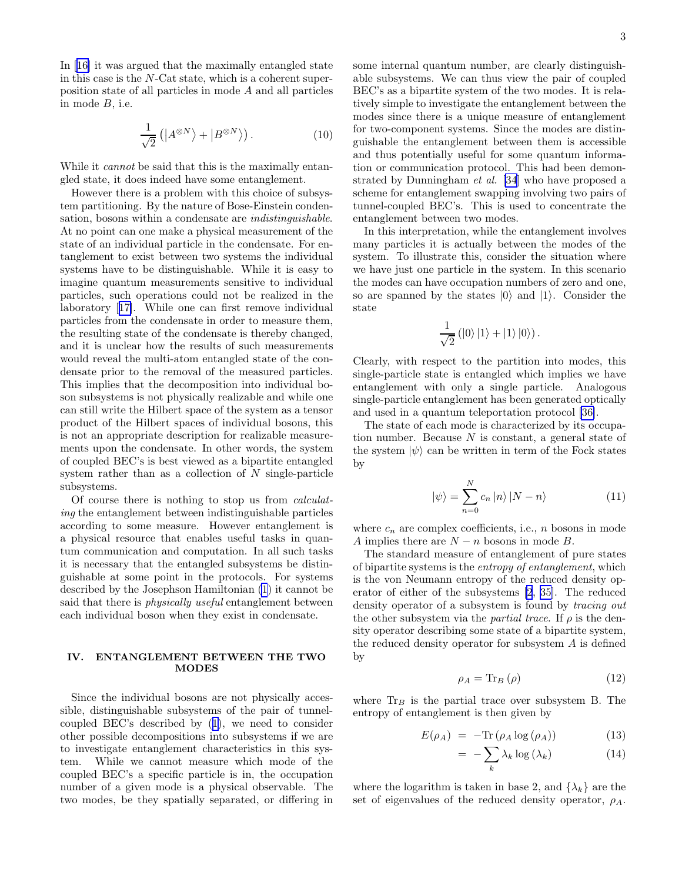<span id="page-2-0"></span>In [\[16\]](#page-9-0) it was argued that the maximally entangled state in this case is the N-Cat state, which is a coherent superposition state of all particles in mode A and all particles in mode B, i.e.

$$
\frac{1}{\sqrt{2}}\left(\left|A^{\otimes N}\right\rangle+\left|B^{\otimes N}\right\rangle\right). \tag{10}
$$

While it *cannot* be said that this is the maximally entangled state, it does indeed have some entanglement.

However there is a problem with this choice of subsystem partitioning. By the nature of Bose-Einstein condensation, bosons within a condensate are indistinguishable. At no point can one make a physical measurement of the state of an individual particle in the condensate. For entanglement to exist between two systems the individual systems have to be distinguishable. While it is easy to imagine quantum measurements sensitive to individual particles, such operations could not be realized in the laboratory[[17\]](#page-9-0). While one can first remove individual particles from the condensate in order to measure them, the resulting state of the condensate is thereby changed, and it is unclear how the results of such measurements would reveal the multi-atom entangled state of the condensate prior to the removal of the measured particles. This implies that the decomposition into individual boson subsystems is not physically realizable and while one can still write the Hilbert space of the system as a tensor product of the Hilbert spaces of individual bosons, this is not an appropriate description for realizable measurements upon the condensate. In other words, the system of coupled BEC's is best viewed as a bipartite entangled system rather than as a collection of  $N$  single-particle subsystems.

Of course there is nothing to stop us from calculating the entanglement between indistinguishable particles according to some measure. However entanglement is a physical resource that enables useful tasks in quantum communication and computation. In all such tasks it is necessary that the entangled subsystems be distinguishable at some point in the protocols. For systems described by the Josephson Hamiltonian [\(1](#page-0-0)) it cannot be said that there is *physically useful* entanglement between each individual boson when they exist in condensate.

# IV. ENTANGLEMENT BETWEEN THE TWO MODES

Since the individual bosons are not physically accessible, distinguishable subsystems of the pair of tunnelcoupled BEC's described by ([1\)](#page-0-0), we need to consider other possible decompositions into subsystems if we are to investigate entanglement characteristics in this system. While we cannot measure which mode of the coupled BEC's a specific particle is in, the occupation number of a given mode is a physical observable. The two modes, be they spatially separated, or differing in some internal quantum number, are clearly distinguishable subsystems. We can thus view the pair of coupled BEC's as a bipartite system of the two modes. It is relatively simple to investigate the entanglement between the modes since there is a unique measure of entanglement for two-component systems. Since the modes are distinguishable the entanglement between them is accessible and thus potentially useful for some quantum information or communication protocol. This had been demonstrated by Dunningham et al. [\[34](#page-9-0)] who have proposed a scheme for entanglement swapping involving two pairs of tunnel-coupled BEC's. This is used to concentrate the entanglement between two modes.

In this interpretation, while the entanglement involves many particles it is actually between the modes of the system. To illustrate this, consider the situation where we have just one particle in the system. In this scenario the modes can have occupation numbers of zero and one, so are spanned by the states  $|0\rangle$  and  $|1\rangle$ . Consider the state

$$
\frac{1}{\sqrt{2}}\left(\left|0\right\rangle\left|1\right\rangle+\left|1\right\rangle\left|0\right\rangle\right).
$$

Clearly, with respect to the partition into modes, this single-particle state is entangled which implies we have entanglement with only a single particle. Analogous single-particle entanglement has been generated optically and used in a quantum teleportation protocol [\[36\]](#page-9-0).

The state of each mode is characterized by its occupation number. Because  $N$  is constant, a general state of the system  $|\psi\rangle$  can be written in term of the Fock states by

$$
|\psi\rangle = \sum_{n=0}^{N} c_n |n\rangle |N - n\rangle \tag{11}
$$

where  $c_n$  are complex coefficients, i.e., n bosons in mode A implies there are  $N - n$  bosons in mode B.

The standard measure of entanglement of pure states of bipartite systems is the entropy of entanglement, which is the von Neumann entropy of the reduced density operator of either of the subsystems [\[2](#page-9-0), [35](#page-9-0)]. The reduced density operator of a subsystem is found by tracing out the other subsystem via the *partial trace*. If  $\rho$  is the density operator describing some state of a bipartite system, the reduced density operator for subsystem A is defined by

$$
\rho_A = \text{Tr}_B \left( \rho \right) \tag{12}
$$

where  $\text{Tr}_{B}$  is the partial trace over subsystem B. The entropy of entanglement is then given by

$$
E(\rho_A) = -\text{Tr}(\rho_A \log(\rho_A)) \tag{13}
$$

$$
= -\sum_{k} \lambda_{k} \log(\lambda_{k}) \tag{14}
$$

where the logarithm is taken in base 2, and  $\{\lambda_k\}$  are the set of eigenvalues of the reduced density operator,  $\rho_A$ .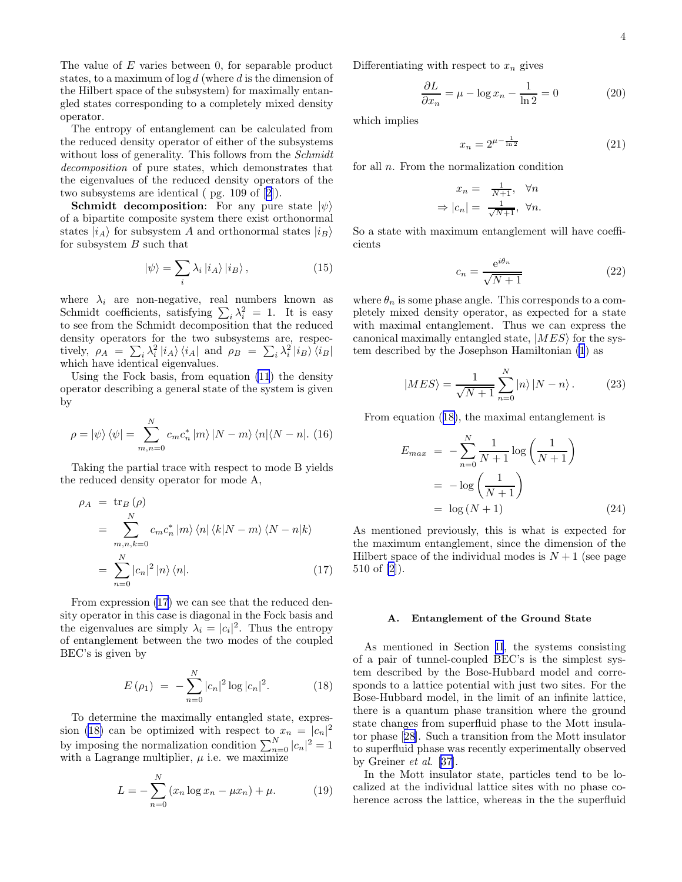<span id="page-3-0"></span>The value of  $E$  varies between 0, for separable product states, to a maximum of  $\log d$  (where d is the dimension of the Hilbert space of the subsystem) for maximally entangled states corresponding to a completely mixed density operator.

The entropy of entanglement can be calculated from the reduced density operator of either of the subsystems without loss of generality. This follows from the *Schmidt* decomposition of pure states, which demonstrates that the eigenvalues of the reduced density operators of the two subsystems are identical ( pg. 109 of[[2\]](#page-9-0)).

**Schmidt decomposition:** For any pure state  $|\psi\rangle$ of a bipartite composite system there exist orthonormal states  $|i_A\rangle$  for subsystem A and orthonormal states  $|i_B\rangle$ for subsystem  $B$  such that

$$
|\psi\rangle = \sum_{i} \lambda_{i} |i_{A}\rangle |i_{B}\rangle, \qquad (15)
$$

where  $\lambda_i$  are non-negative, real numbers known as Schmidt coefficients, satisfying  $\sum_i \lambda_i^2 = 1$ . It is easy to see from the Schmidt decomposition that the reduced density operators for the two subsystems are, respectively,  $\rho_A = \sum_i \lambda_i^2 |i_A\rangle \langle i_A|$  and  $\rho_B = \sum_i \lambda_i^2 |i_B\rangle \langle i_B|$ which have identical eigenvalues.

Using the Fock basis, from equation [\(11](#page-2-0)) the density operator describing a general state of the system is given by

$$
\rho = \left| \psi \right\rangle \left\langle \psi \right| = \sum_{m,n=0}^{N} c_m c_n^* \left| m \right\rangle \left| N - m \right\rangle \left\langle n \right| \left\langle N - n \right|. \tag{16}
$$

Taking the partial trace with respect to mode B yields the reduced density operator for mode A,

$$
\rho_A = \text{tr}_B(\rho)
$$
  
= 
$$
\sum_{m,n,k=0}^{N} c_m c_n^* |m\rangle \langle n| \langle k|N-m\rangle \langle N-n|k\rangle
$$
  
= 
$$
\sum_{n=0}^{N} |c_n|^2 |n\rangle \langle n|.
$$
 (17)

From expression (17) we can see that the reduced density operator in this case is diagonal in the Fock basis and the eigenvalues are simply  $\lambda_i = |c_i|^2$ . Thus the entropy of entanglement between the two modes of the coupled BEC's is given by

$$
E(\rho_1) = -\sum_{n=0}^{N} |c_n|^2 \log |c_n|^2.
$$
 (18)

To determine the maximally entangled state, expression (18) can be optimized with respect to  $x_n = |c_n|^2$ by imposing the normalization condition  $\sum_{n=0}^{N} |c_n|^2 = 1$ with a Lagrange multiplier,  $\mu$  i.e. we maximize

$$
L = -\sum_{n=0}^{N} (x_n \log x_n - \mu x_n) + \mu.
$$
 (19)

Differentiating with respect to  $x_n$  gives

$$
\frac{\partial L}{\partial x_n} = \mu - \log x_n - \frac{1}{\ln 2} = 0 \tag{20}
$$

which implies

$$
x_n = 2^{\mu - \frac{1}{\ln 2}} \tag{21}
$$

for all n. From the normalization condition

$$
x_n = \frac{1}{N+1}, \quad \forall n
$$

$$
\Rightarrow |c_n| = \frac{1}{\sqrt{N+1}}, \quad \forall n.
$$

So a state with maximum entanglement will have coefficients

$$
c_n = \frac{e^{i\theta_n}}{\sqrt{N+1}}\tag{22}
$$

where  $\theta_n$  is some phase angle. This corresponds to a completely mixed density operator, as expected for a state with maximal entanglement. Thus we can express the canonical maximally entangled state,  $|MES\rangle$  for the system described by the Josephson Hamiltonian [\(1](#page-0-0)) as

$$
|MES\rangle = \frac{1}{\sqrt{N+1}} \sum_{n=0}^{N} |n\rangle |N-n\rangle. \tag{23}
$$

From equation (18), the maximal entanglement is

$$
E_{max} = -\sum_{n=0}^{N} \frac{1}{N+1} \log\left(\frac{1}{N+1}\right)
$$

$$
= -\log\left(\frac{1}{N+1}\right)
$$

$$
= \log(N+1) \tag{24}
$$

As mentioned previously, this is what is expected for the maximum entanglement, since the dimension of the Hilbert space of the individual modes is  $N+1$  (see page 510 of [\[2](#page-9-0)]).

#### A. Entanglement of the Ground State

As mentioned in Section [II](#page-0-0), the systems consisting of a pair of tunnel-coupled BEC's is the simplest system described by the Bose-Hubbard model and corresponds to a lattice potential with just two sites. For the Bose-Hubbard model, in the limit of an infinite lattice, there is a quantum phase transition where the ground state changes from superfluid phase to the Mott insulator phase[[28\]](#page-9-0). Such a transition from the Mott insulator to superfluid phase was recently experimentally observed by Greiner et al. [\[37\]](#page-9-0).

In the Mott insulator state, particles tend to be localized at the individual lattice sites with no phase coherence across the lattice, whereas in the the superfluid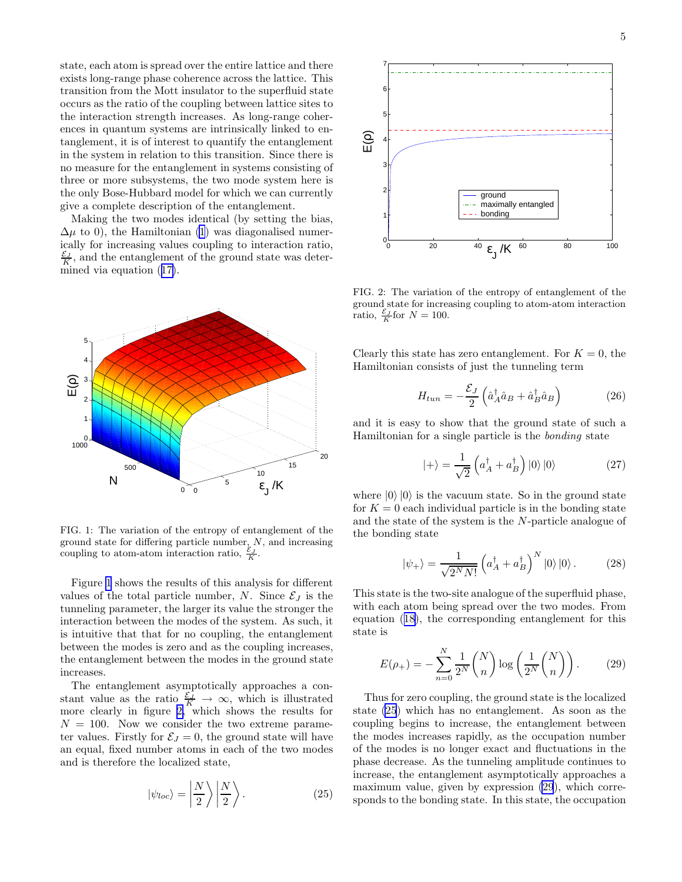<span id="page-4-0"></span>state, each atom is spread over the entire lattice and there exists long-range phase coherence across the lattice. This transition from the Mott insulator to the superfluid state occurs as the ratio of the coupling between lattice sites to the interaction strength increases. As long-range coherences in quantum systems are intrinsically linked to entanglement, it is of interest to quantify the entanglement in the system in relation to this transition. Since there is no measure for the entanglement in systems consisting of three or more subsystems, the two mode system here is the only Bose-Hubbard model for which we can currently give a complete description of the entanglement.

Making the two modes identical (by setting the bias,  $\Delta\mu$  to 0), the Hamiltonian [\(1](#page-0-0)) was diagonalised numerically for increasing values coupling to interaction ratio,  $\frac{\mathcal{E}_J}{K}$ , and the entanglement of the ground state was determined via equation ([17\)](#page-3-0).



FIG. 1: The variation of the entropy of entanglement of the ground state for differing particle number,  $N$ , and increasing coupling to atom-atom interaction ratio,  $\frac{\varepsilon_J}{K}$ .

Figure 1 shows the results of this analysis for different values of the total particle number, N. Since  $\mathcal{E}_J$  is the tunneling parameter, the larger its value the stronger the interaction between the modes of the system. As such, it is intuitive that that for no coupling, the entanglement between the modes is zero and as the coupling increases, the entanglement between the modes in the ground state increases.

The entanglement asymptotically approaches a constant value as the ratio  $\frac{\varepsilon_J}{K} \to \infty$ , which is illustrated more clearly in figure 2, which shows the results for  $N = 100$ . Now we consider the two extreme parameter values. Firstly for  $\mathcal{E}_J = 0$ , the ground state will have an equal, fixed number atoms in each of the two modes and is therefore the localized state,

$$
|\psi_{loc}\rangle = \left|\frac{N}{2}\right\rangle \left|\frac{N}{2}\right\rangle. \tag{25}
$$



FIG. 2: The variation of the entropy of entanglement of the ground state for increasing coupling to atom-atom interaction ratio,  $\frac{\mathcal{E}_J}{K}$  for  $N = 100$ .

Clearly this state has zero entanglement. For  $K = 0$ , the Hamiltonian consists of just the tunneling term

$$
H_{tun} = -\frac{\mathcal{E}_J}{2} \left( \hat{a}_A^\dagger \hat{a}_B + \hat{a}_B^\dagger \hat{a}_B \right) \tag{26}
$$

and it is easy to show that the ground state of such a Hamiltonian for a single particle is the bonding state

$$
|+\rangle = \frac{1}{\sqrt{2}} \left( a_A^{\dagger} + a_B^{\dagger} \right) |0\rangle |0\rangle \tag{27}
$$

where  $|0\rangle |0\rangle$  is the vacuum state. So in the ground state for  $K = 0$  each individual particle is in the bonding state and the state of the system is the N-particle analogue of the bonding state

$$
|\psi_{+}\rangle = \frac{1}{\sqrt{2^{N}N!}} \left(a_{A}^{\dagger} + a_{B}^{\dagger}\right)^{N} |0\rangle |0\rangle. \tag{28}
$$

This state is the two-site analogue of the superfluid phase, with each atom being spread over the two modes. From equation ([18\)](#page-3-0), the corresponding entanglement for this state is

$$
E(\rho_+) = -\sum_{n=0}^N \frac{1}{2^N} \binom{N}{n} \log \left(\frac{1}{2^N} \binom{N}{n}\right). \tag{29}
$$

Thus for zero coupling, the ground state is the localized state (25) which has no entanglement. As soon as the coupling begins to increase, the entanglement between the modes increases rapidly, as the occupation number of the modes is no longer exact and fluctuations in the phase decrease. As the tunneling amplitude continues to increase, the entanglement asymptotically approaches a maximum value, given by expression (29), which corresponds to the bonding state. In this state, the occupation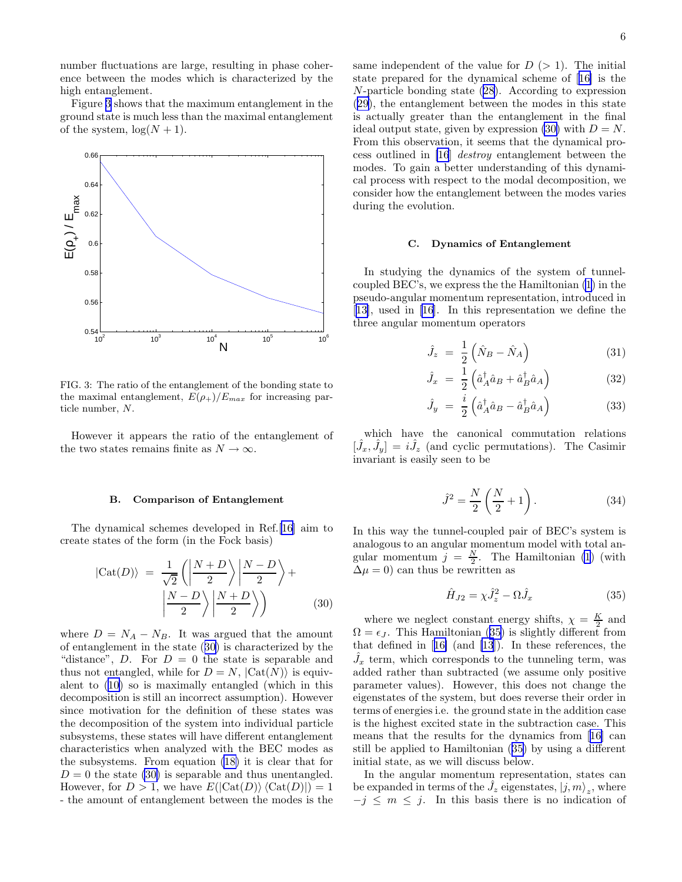<span id="page-5-0"></span>number fluctuations are large, resulting in phase coherence between the modes which is characterized by the high entanglement.

Figure 3 shows that the maximum entanglement in the ground state is much less than the maximal entanglement of the system,  $\log(N + 1)$ .



FIG. 3: The ratio of the entanglement of the bonding state to the maximal entanglement,  $E(\rho_{+})/E_{max}$  for increasing particle number, N.

However it appears the ratio of the entanglement of the two states remains finite as  $N \to \infty$ .

#### B. Comparison of Entanglement

The dynamical schemes developed in Ref.[[16\]](#page-9-0) aim to create states of the form (in the Fock basis)

$$
|\text{Cat}(D)\rangle = \frac{1}{\sqrt{2}} \left( \left| \frac{N+D}{2} \right\rangle \middle| \frac{N-D}{2} \right\rangle + \left| \frac{N-D}{2} \right\rangle \middle| \frac{N+D}{2} \rangle \right) \tag{30}
$$

where  $D = N_A - N_B$ . It was argued that the amount of entanglement in the state (30) is characterized by the "distance", D. For  $D = 0$  the state is separable and thus not entangled, while for  $D = N$ ,  $|\text{Cat}(N)\rangle$  is equivalent to [\(10](#page-2-0)) so is maximally entangled (which in this decomposition is still an incorrect assumption). However since motivation for the definition of these states was the decomposition of the system into individual particle subsystems, these states will have different entanglement characteristics when analyzed with the BEC modes as the subsystems. From equation [\(18\)](#page-3-0) it is clear that for  $D = 0$  the state (30) is separable and thus unentangled. However, for  $D > 1$ , we have  $E(|\mathrm{Cat}(D)\rangle \langle \mathrm{Cat}(D)|) = 1$ - the amount of entanglement between the modes is the

same independent of the value for  $D > 1$ . The initial state prepared for the dynamical scheme of[[16\]](#page-9-0) is the N-particle bonding state ([28](#page-4-0)). According to expression ([29\)](#page-4-0), the entanglement between the modes in this state is actually greater than the entanglement in the final ideal output state, given by expression (30) with  $D = N$ . From this observation, it seems that the dynamical process outlined in [\[16](#page-9-0)] destroy entanglement between the modes. To gain a better understanding of this dynamical process with respect to the modal decomposition, we consider how the entanglement between the modes varies during the evolution.

## C. Dynamics of Entanglement

In studying the dynamics of the system of tunnelcoupled BEC's, we express the the Hamiltonian [\(1](#page-0-0)) in the pseudo-angular momentum representation, introduced in [[13\]](#page-9-0), used in [\[16](#page-9-0)]. In this representation we define the three angular momentum operators

$$
\hat{J}_z = \frac{1}{2} \left( \hat{N}_B - \hat{N}_A \right) \tag{31}
$$

$$
\hat{J}_x = \frac{1}{2} \left( \hat{a}_A^\dagger \hat{a}_B + \hat{a}_B^\dagger \hat{a}_A \right) \tag{32}
$$

$$
\hat{J}_y = \frac{i}{2} \left( \hat{a}_A^\dagger \hat{a}_B - \hat{a}_B^\dagger \hat{a}_A \right) \tag{33}
$$

which have the canonical commutation relations  $[\hat{J}_x, \hat{J}_y] = i\hat{J}_z$  (and cyclic permutations). The Casimir invariant is easily seen to be

$$
\hat{J}^2 = \frac{N}{2} \left( \frac{N}{2} + 1 \right). \tag{34}
$$

In this way the tunnel-coupled pair of BEC's system is analogous to an angular momentum model with total angular momentum  $j = \frac{N}{2}$ . The Hamiltonian [\(1](#page-0-0)) (with  $\Delta \mu = 0$ ) can thus be rewritten as

$$
\hat{H}_{J2} = \chi \hat{J}_z^2 - \Omega \hat{J}_x \tag{35}
$$

where we neglect constant energy shifts,  $\chi = \frac{K}{2}$  and  $\Omega = \epsilon_J$ . This Hamiltonian (35) is slightly different from that defined in[[16\]](#page-9-0) (and [\[13](#page-9-0)]). In these references, the  $\hat{J}_x$  term, which corresponds to the tunneling term, was added rather than subtracted (we assume only positive parameter values). However, this does not change the eigenstates of the system, but does reverse their order in terms of energies i.e. the ground state in the addition case is the highest excited state in the subtraction case. This means that the results for the dynamics from[[16\]](#page-9-0) can still be applied to Hamiltonian (35) by using a different initial state, as we will discuss below.

In the angular momentum representation, states can be expanded in terms of the  $\hat{J}_z$  eigenstates,  $|j,m\rangle_z$ , where  $-j \leq m \leq j$ . In this basis there is no indication of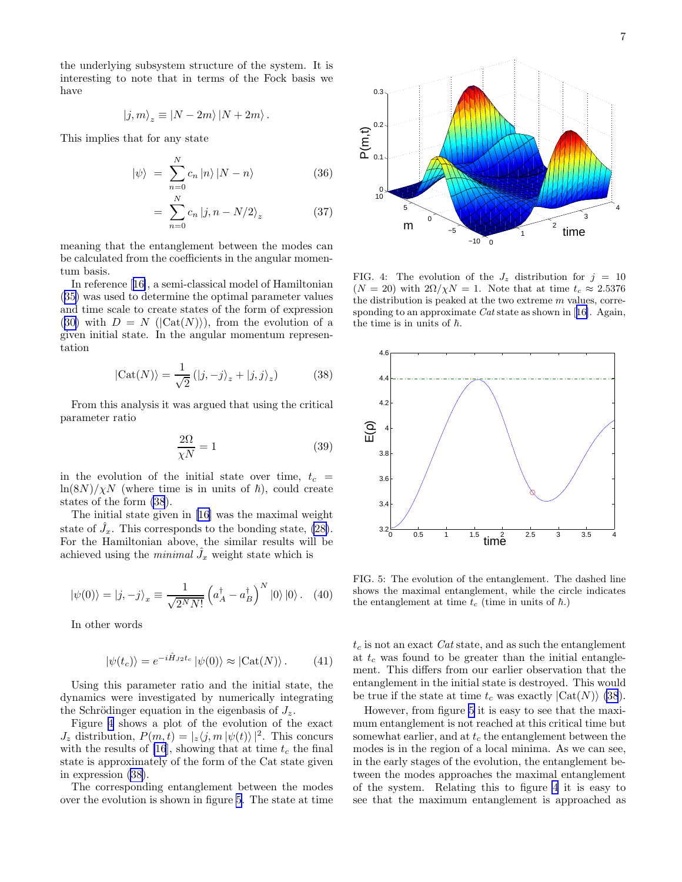<span id="page-6-0"></span>the underlying subsystem structure of the system. It is interesting to note that in terms of the Fock basis we have

$$
|j,m\rangle_z \equiv |N-2m\rangle |N+2m\rangle.
$$

This implies that for any state

$$
|\psi\rangle = \sum_{n=0}^{N} c_n |n\rangle |N-n\rangle \qquad (36)
$$

$$
= \sum_{n=0}^{N} c_n |j, n - N/2\rangle_z \tag{37}
$$

meaning that the entanglement between the modes can be calculated from the coefficients in the angular momentum basis.

In reference[[16\]](#page-9-0), a semi-classical model of Hamiltonian ([35\)](#page-5-0) was used to determine the optimal parameter values and time scale to create states of the form of expression ([30\)](#page-5-0) with  $D = N$  ( $|\text{Cat}(N)\rangle$ ), from the evolution of a given initial state. In the angular momentum representation

$$
|\text{Cat}(N)\rangle = \frac{1}{\sqrt{2}} (|j, -j\rangle_z + |j, j\rangle_z)
$$
 (38)

From this analysis it was argued that using the critical parameter ratio

$$
\frac{2\Omega}{\chi N} = 1\tag{39}
$$

in the evolution of the initial state over time,  $t_c$  =  $\ln(8N)/\chi N$  (where time is in units of  $\hbar$ ), could create states of the form (38).

The initial state given in[[16\]](#page-9-0) was the maximal weight state of  $\hat{J}_x$ . This corresponds to the bonding state, [\(28\)](#page-4-0). For the Hamiltonian above, the similar results will be achieved using the *minimal*  $\hat{J}_x$  weight state which is

$$
|\psi(0)\rangle = |j, -j\rangle_x \equiv \frac{1}{\sqrt{2^N N!}} \left(a_A^\dagger - a_B^\dagger\right)^N |0\rangle |0\rangle. \quad (40)
$$

In other words

$$
|\psi(t_c)\rangle = e^{-i\hat{H}_{J2}t_c} |\psi(0)\rangle \approx |\text{Cat}(N)\rangle. \tag{41}
$$

Using this parameter ratio and the initial state, the dynamics were investigated by numerically integrating the Schrödinger equation in the eigenbasis of  $J_z$ .

Figure 4 shows a plot of the evolution of the exact  $J_z$  distribution,  $P(m, t) = |z \langle j, m | \psi(t) \rangle|^2$ . This concurs with the results of [\[16](#page-9-0)], showing that at time  $t_c$  the final state is approximately of the form of the Cat state given in expression (38).

The corresponding entanglement between the modes over the evolution is shown in figure 5. The state at time



FIG. 4: The evolution of the  $J_z$  distribution for  $j = 10$  $(N = 20)$  with  $2\Omega/\chi N = 1$ . Note that at time  $t_c \approx 2.5376$ the distribution is peaked at the two extreme  $m$  values, correspondingto an approximate  $Cat$  state as shown in [[16\]](#page-9-0). Again, the time is in units of  $\hbar$ .



FIG. 5: The evolution of the entanglement. The dashed line shows the maximal entanglement, while the circle indicates the entanglement at time  $t_c$  (time in units of  $\hbar$ .)

 $t_c$  is not an exact Cat state, and as such the entanglement at  $t_c$  was found to be greater than the initial entanglement. This differs from our earlier observation that the entanglement in the initial state is destroyed. This would be true if the state at time  $t_c$  was exactly  $|\text{Cat}(N)\rangle$  (38).

However, from figure 5 it is easy to see that the maximum entanglement is not reached at this critical time but somewhat earlier, and at  $t_c$  the entanglement between the modes is in the region of a local minima. As we can see, in the early stages of the evolution, the entanglement between the modes approaches the maximal entanglement of the system. Relating this to figure 4 it is easy to see that the maximum entanglement is approached as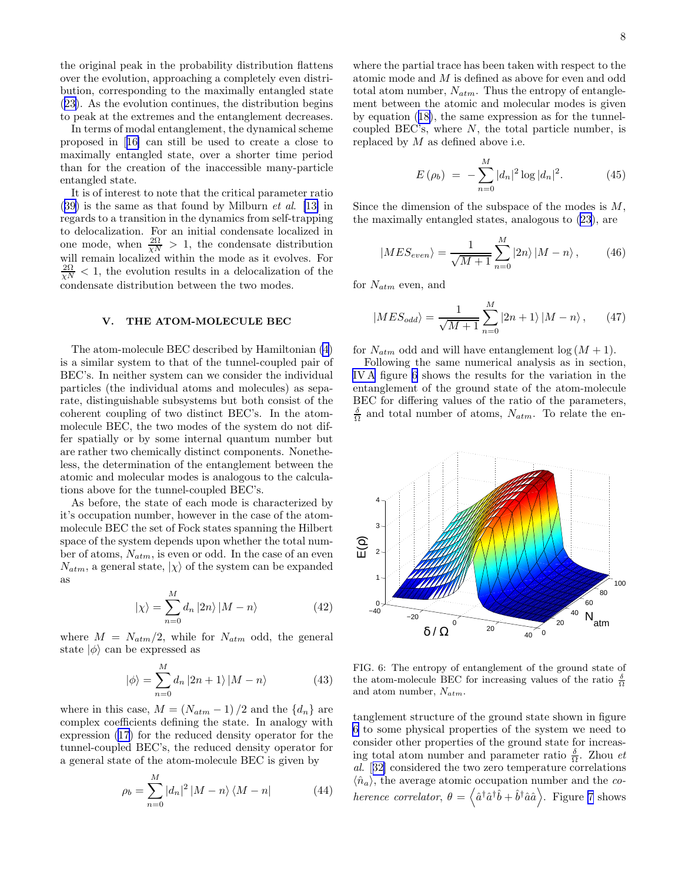the original peak in the probability distribution flattens over the evolution, approaching a completely even distribution, corresponding to the maximally entangled state ([23\)](#page-3-0). As the evolution continues, the distribution begins to peak at the extremes and the entanglement decreases.

In terms of modal entanglement, the dynamical scheme proposed in[[16\]](#page-9-0) can still be used to create a close to maximally entangled state, over a shorter time period than for the creation of the inaccessible many-particle entangled state.

It is of interest to note that the critical parameter ratio  $(39)$  $(39)$  is the same as that found by Milburn *et al.* [\[13\]](#page-9-0) in regards to a transition in the dynamics from self-trapping to delocalization. For an initial condensate localized in one mode, when  $\frac{2\Omega}{\chi N} > 1$ , the condensate distribution will remain localized within the mode as it evolves. For  $\frac{2\Omega}{\chi N}$  < 1, the evolution results in a delocalization of the condensate distribution between the two modes.

## V. THE ATOM-MOLECULE BEC

The atom-molecule BEC described by Hamiltonian [\(4](#page-1-0)) is a similar system to that of the tunnel-coupled pair of BEC's. In neither system can we consider the individual particles (the individual atoms and molecules) as separate, distinguishable subsystems but both consist of the coherent coupling of two distinct BEC's. In the atommolecule BEC, the two modes of the system do not differ spatially or by some internal quantum number but are rather two chemically distinct components. Nonetheless, the determination of the entanglement between the atomic and molecular modes is analogous to the calculations above for the tunnel-coupled BEC's.

As before, the state of each mode is characterized by it's occupation number, however in the case of the atommolecule BEC the set of Fock states spanning the Hilbert space of the system depends upon whether the total number of atoms,  $N_{atm}$ , is even or odd. In the case of an even  $N_{atm}$ , a general state,  $|\chi\rangle$  of the system can be expanded as

$$
|\chi\rangle = \sum_{n=0}^{M} d_n |2n\rangle |M - n\rangle \tag{42}
$$

where  $M = N_{atm}/2$ , while for  $N_{atm}$  odd, the general state  $|\phi\rangle$  can be expressed as

$$
|\phi\rangle = \sum_{n=0}^{M} d_n |2n+1\rangle |M-n\rangle \tag{43}
$$

where in this case,  $M = (N_{atm} - 1)/2$  and the  $\{d_n\}$  are complex coefficients defining the state. In analogy with expression [\(17](#page-3-0)) for the reduced density operator for the tunnel-coupled BEC's, the reduced density operator for a general state of the atom-molecule BEC is given by

$$
\rho_b = \sum_{n=0}^{M} |d_n|^2 |M - n\rangle \langle M - n| \tag{44}
$$

where the partial trace has been taken with respect to the atomic mode and M is defined as above for even and odd total atom number,  $N_{atm}$ . Thus the entropy of entanglement between the atomic and molecular modes is given by equation ([18\)](#page-3-0), the same expression as for the tunnelcoupled BEC's, where N, the total particle number, is replaced by  $M$  as defined above i.e.

$$
E(\rho_b) = -\sum_{n=0}^{M} |d_n|^2 \log |d_n|^2.
$$
 (45)

Since the dimension of the subspace of the modes is  $M$ , the maximally entangled states, analogous to [\(23](#page-3-0)), are

$$
|MES_{even}\rangle = \frac{1}{\sqrt{M+1}} \sum_{n=0}^{M} |2n\rangle |M-n\rangle, \qquad (46)
$$

for  $N_{atm}$  even, and

$$
|MES_{odd}\rangle = \frac{1}{\sqrt{M+1}} \sum_{n=0}^{M} |2n+1\rangle |M-n\rangle , \qquad (47)
$$

for  $N_{atm}$  odd and will have entanglement  $log(M + 1)$ .

Following the same numerical analysis as in section, [IV A](#page-3-0) figure 6 shows the results for the variation in the entanglement of the ground state of the atom-molecule BEC for differing values of the ratio of the parameters,  $\frac{\delta}{\Omega}$  and total number of atoms,  $N_{atm}$ . To relate the en-



FIG. 6: The entropy of entanglement of the ground state of the atom-molecule BEC for increasing values of the ratio  $\frac{\delta}{\Omega}$ and atom number,  $N_{atm}$ .

tanglement structure of the ground state shown in figure 6 to some physical properties of the system we need to consider other properties of the ground state for increasing total atom number and parameter ratio  $\frac{\delta}{\Omega}$ . Zhou *et* al.[[32\]](#page-9-0) considered the two zero temperature correlations  $\langle \hat{n}_a \rangle$ , the average atomic occupation number and the coherence correlator,  $\theta = \langle \hat{a}^\dagger \hat{a}^\dagger \hat{b} + \hat{b}^\dagger \hat{a} \hat{a} \rangle$ . Figure [7](#page-8-0) shows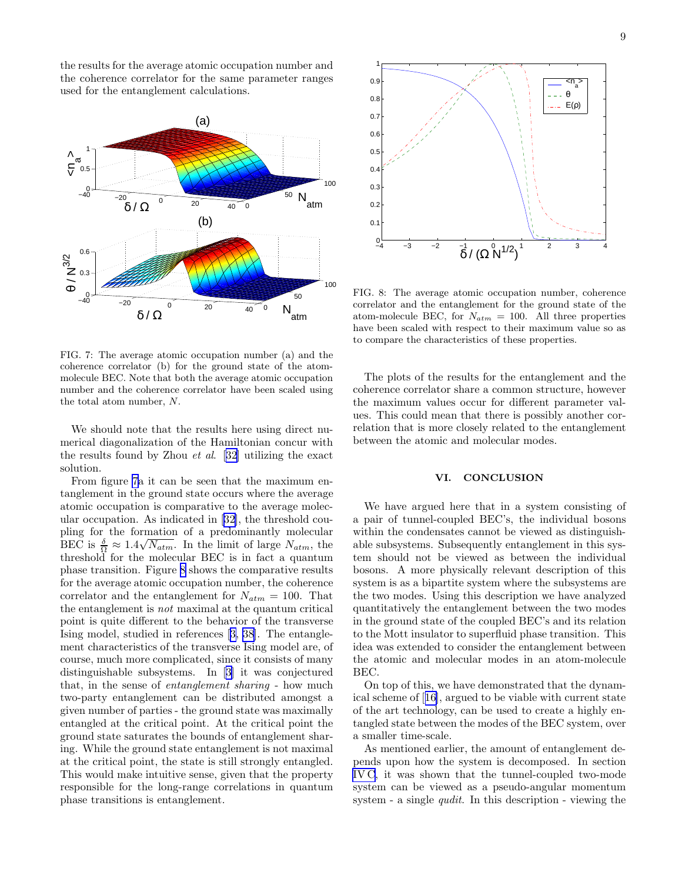<span id="page-8-0"></span>the results for the average atomic occupation number and the coherence correlator for the same parameter ranges used for the entanglement calculations.



FIG. 7: The average atomic occupation number (a) and the coherence correlator (b) for the ground state of the atommolecule BEC. Note that both the average atomic occupation number and the coherence correlator have been scaled using the total atom number, N.

We should note that the results here using direct numerical diagonalization of the Hamiltonian concur with the results found by Zhou et al.[[32\]](#page-9-0) utilizing the exact solution.

From figure 7a it can be seen that the maximum entanglement in the ground state occurs where the average atomic occupation is comparative to the average molecular occupation. As indicated in [\[32](#page-9-0)], the threshold coupling for the formation of a predominantly molecular BEC is  $\frac{\delta}{\Omega} \approx 1.4\sqrt{N_{atm}}$ . In the limit of large  $N_{atm}$ , the threshold for the molecular BEC is in fact a quantum phase transition. Figure 8 shows the comparative results for the average atomic occupation number, the coherence correlator and the entanglement for  $N_{atm} = 100$ . That the entanglement is not maximal at the quantum critical point is quite different to the behavior of the transverse Ising model, studied in references[[3, 38](#page-9-0)]. The entanglement characteristics of the transverse Ising model are, of course, much more complicated, since it consists of many distinguishable subsystems. In[[3\]](#page-9-0) it was conjectured that, in the sense of entanglement sharing - how much two-party entanglement can be distributed amongst a given number of parties - the ground state was maximally entangled at the critical point. At the critical point the ground state saturates the bounds of entanglement sharing. While the ground state entanglement is not maximal at the critical point, the state is still strongly entangled. This would make intuitive sense, given that the property responsible for the long-range correlations in quantum phase transitions is entanglement.



FIG. 8: The average atomic occupation number, coherence correlator and the entanglement for the ground state of the atom-molecule BEC, for  $N_{atm} = 100$ . All three properties have been scaled with respect to their maximum value so as to compare the characteristics of these properties.

The plots of the results for the entanglement and the coherence correlator share a common structure, however the maximum values occur for different parameter values. This could mean that there is possibly another correlation that is more closely related to the entanglement between the atomic and molecular modes.

# VI. CONCLUSION

We have argued here that in a system consisting of a pair of tunnel-coupled BEC's, the individual bosons within the condensates cannot be viewed as distinguishable subsystems. Subsequently entanglement in this system should not be viewed as between the individual bosons. A more physically relevant description of this system is as a bipartite system where the subsystems are the two modes. Using this description we have analyzed quantitatively the entanglement between the two modes in the ground state of the coupled BEC's and its relation to the Mott insulator to superfluid phase transition. This idea was extended to consider the entanglement between the atomic and molecular modes in an atom-molecule BEC.

On top of this, we have demonstrated that the dynamical scheme of[[16\]](#page-9-0), argued to be viable with current state of the art technology, can be used to create a highly entangled state between the modes of the BEC system, over a smaller time-scale.

As mentioned earlier, the amount of entanglement depends upon how the system is decomposed. In section [IV C,](#page-5-0) it was shown that the tunnel-coupled two-mode system can be viewed as a pseudo-angular momentum system - a single qudit. In this description - viewing the